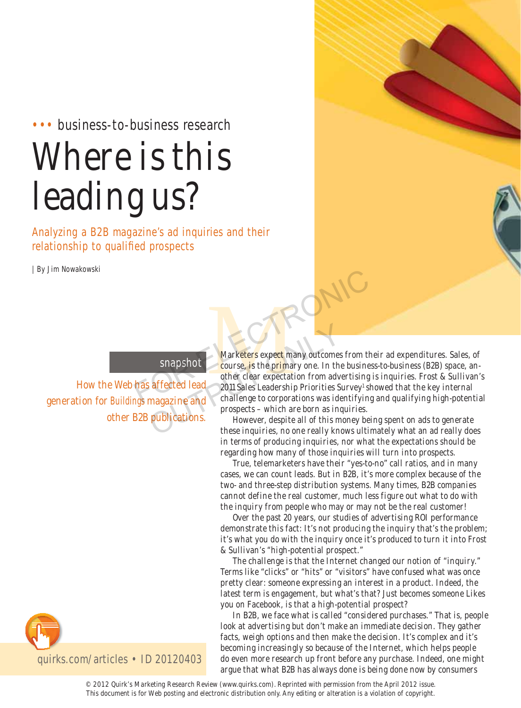## ••• business-to-business research

# Where is this leading us?

Analyzing a B2B magazine's ad inquiries and their relationship to qualified prospects

How the Web has affected lead

other B2B publications.

snapshot

generation for *Buildings* magazine and

| By Jim Nowakowski



Marketers expect many outcomes from their ad expenditures. Sales, of<br>course, is the primary one. In the business-to-business (B2B) space, an-<br>other clear expectation from advertising is inquiries. Frost & Sullivan':<br>2011 S course, is the primary one. In the business-to-business (B2B) space, another clear expectation from advertising is inquiries. Frost & Sullivan's 2011 Sales Leadership Priorities Survey<sup>1</sup> showed that the key internal challenge to corporations was identifying and qualifying high-potential prospects – which are born as inquiries. Salar Show Marketers expect many outcomes from their<br>
Salar Show Marketers expect many outcomes from their<br>
thas affected lead<br>
2011 Sales Leadership Priorities Survey' show<br>
that allenge to corporations was identifying an Marketers expect many outcomes<br>
snapshot<br>
affected lead<br>
aboutse, is the primary one. In the<br>
other clear expectation from adv<br>
2011 Sales Leadership Priorities S<br>
magazine and<br>
publications.<br>
However, despite all of this

However, despite all of this money being spent on ads to generate these inquiries, no one really knows ultimately what an ad really does in terms of producing inquiries, nor what the expectations should be regarding how many of those inquiries will turn into prospects.

True, telemarketers have their "yes-to-no" call ratios, and in many cases, we can count leads. But in B2B, it's more complex because of the two- and three-step distribution systems. Many times, B2B companies cannot define the real customer, much less figure out what to do with the inquiry from people who may or may not be the real customer!

Over the past 20 years, our studies of advertising ROI performance demonstrate this fact: It's not producing the inquiry that's the problem; it's what you do with the inquiry once it's produced to turn it into Frost & Sullivan's "high-potential prospect."

The challenge is that the Internet changed our notion of "inquiry." Terms like "clicks" or "hits" or "visitors" have confused what was once pretty clear: someone expressing an interest in a product. Indeed, the latest term is engagement, but what's that? Just becomes someone Likes you on Facebook, is that a high-potential prospect?

In B2B, we face what is called "considered purchases." That is, people look at advertising but don't make an immediate decision. They gather facts, weigh options and then make the decision. It's complex and it's becoming increasingly so because of the Internet, which helps people do even more research up front before any purchase. Indeed, one might argue that what B2B has always done is being done now by consumers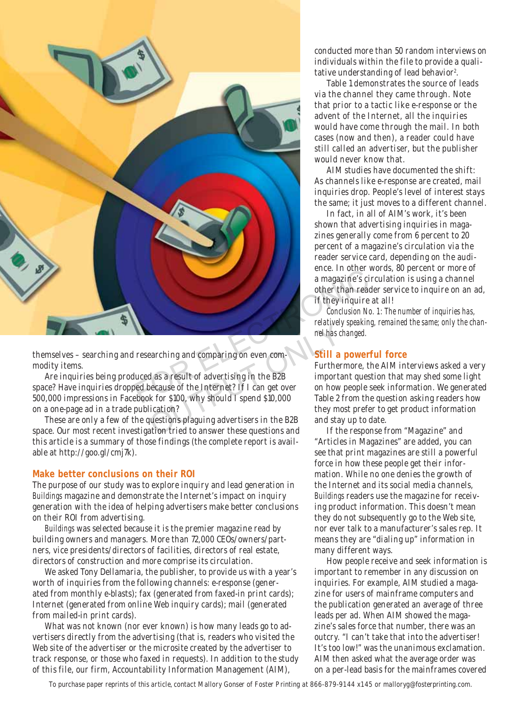

themselves – searching and researching and comparing on even commodity items.

Are inquiries being produced as a result of advertising in the B2B space? Have inquiries dropped because of the Internet? If I can get over 500,000 impressions in Facebook for \$100, why should I spend \$10,000 on a one-page ad in a trade publication? mel has containing and comparing on even com-<br>
a as a result of advertising in the B2B<br>
Decause of the Internet? If I can get over<br>
Mass contained to a specify the proof and stay<br>
they move the B2B<br>
lication?<br>
They move th

These are only a few of the questions plaguing advertisers in the B2B space. Our most recent investigation tried to answer these questions and this article is a summary of those findings (the complete report is available at http://goo.gl/cmj7k).

## **Make better conclusions on their ROI**

The purpose of our study was to explore inquiry and lead generation in *Buildings* magazine and demonstrate the Internet's impact on inquiry generation with the idea of helping advertisers make better conclusions on their ROI from advertising.

*Buildings* was selected because it is the premier magazine read by building owners and managers. More than 72,000 CEOs/owners/partners, vice presidents/directors of facilities, directors of real estate, directors of construction and more comprise its circulation.

We asked Tony Dellamaria, the publisher, to provide us with a year's worth of inquiries from the following channels: e-response (generated from monthly e-blasts); fax (generated from faxed-in print cards); Internet (generated from online Web inquiry cards); mail (generated from mailed-in print cards).

What was not known (nor ever known) is how many leads go to advertisers directly from the advertising (that is, readers who visited the Web site of the advertiser or the microsite created by the advertiser to track response, or those who faxed in requests). In addition to the study of this file, our firm, Accountability Information Management (AIM),

conducted more than 50 random interviews on individuals within the file to provide a qualitative understanding of lead behavior<sup>2</sup>.

Table 1 demonstrates the source of leads via the channel they came through. Note that prior to a tactic like e-response or the advent of the Internet, all the inquiries would have come through the mail. In both cases (now and then), a reader could have still called an advertiser, but the publisher would never know that.

AIM studies have documented the shift: As channels like e-response are created, mail inquiries drop. People's level of interest stays the same; it just moves to a different channel.

In fact, in all of AIM's work, it's been shown that advertising inquiries in magazines generally come from 6 percent to 20 percent of a magazine's circulation via the reader service card, depending on the audience. In other words, 80 percent or more of a magazine's circulation is using a channel other than reader service to inquire on an ad, if they inquire at all!

*Conclusion No. 1: The number of inquiries has, relatively speaking, remained the same; only the channel has changed.*

### **Still a powerful force**

Furthermore, the AIM interviews asked a very important question that may shed some light on how people seek information. We generated Table 2 from the question asking readers how they most prefer to get product information and stay up to date.

If the response from "Magazine" and "Articles in Magazines" are added, you can see that print magazines are still a powerful force in how these people get their information. While no one denies the growth of the Internet and its social media channels, *Buildings* readers use the magazine for receiving product information. This doesn't mean they do not subsequently go to the Web site, nor ever talk to a manufacturer's sales rep. It means they are "dialing up" information in many different ways.

How people receive and seek information is important to remember in any discussion on inquiries. For example, AIM studied a magazine for users of mainframe computers and the publication generated an average of three leads per ad. When AIM showed the magazine's sales force that number, there was an outcry. "I can't take that into the advertiser! It's too low!" was the unanimous exclamation. AIM then asked what the average order was on a per-lead basis for the mainframes covered

To purchase paper reprints of this article, contact Mallory Gonser of Foster Printing at 866-879-9144 x145 or malloryg@fosterprinting.com.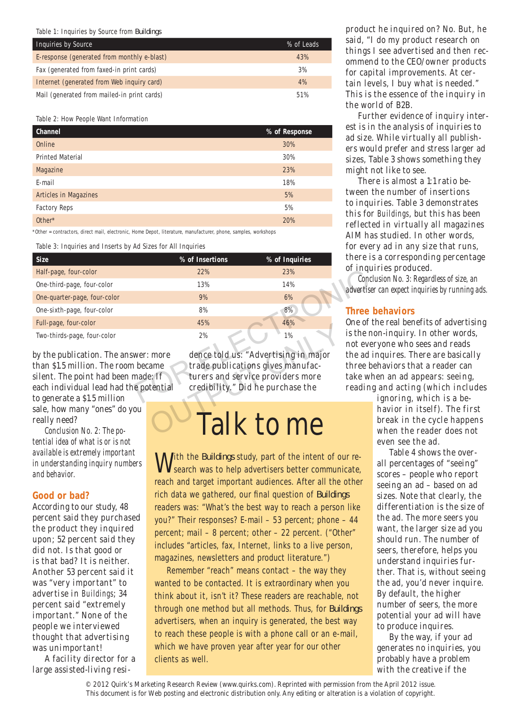#### Table 1: Inquiries by Source from *Buildings*

| Inquiries by Source                         | % of Leads |
|---------------------------------------------|------------|
| E-response (generated from monthly e-blast) | 43%        |
| Fax (generated from faxed-in print cards)   | 3%         |
| Internet (generated from Web inquiry card)  | 4%         |
| Mail (generated from mailed-in print cards) | 51%        |

Table 2: How People Want Information

| Channel                 | % of Response |
|-------------------------|---------------|
| Online                  | 30%           |
| <b>Printed Material</b> | 30%           |
| Magazine                | 23%           |
| E-mail                  | 18%           |
| Articles in Magazines   | 5%            |
| <b>Factory Reps</b>     | 5%            |
| Other*                  | 20%           |

\*Other = contractors, direct mail, electronic, Home Depot, literature, manufacturer, phone, samples, workshops

Table 3: Inquiries and Inserts by Ad Sizes for All Inquiries

| % of Insertions                                                                                                                                                                                                                                                                                                                                    | % of Inquiries | there is a                |  |
|----------------------------------------------------------------------------------------------------------------------------------------------------------------------------------------------------------------------------------------------------------------------------------------------------------------------------------------------------|----------------|---------------------------|--|
| 22%                                                                                                                                                                                                                                                                                                                                                | 23%            | of inquiri                |  |
| 13%                                                                                                                                                                                                                                                                                                                                                | 14%            | Conclusi<br>advertiser ca |  |
| 9%                                                                                                                                                                                                                                                                                                                                                 | 6%             |                           |  |
| 8%                                                                                                                                                                                                                                                                                                                                                 | 8%             | Three be                  |  |
| 45%                                                                                                                                                                                                                                                                                                                                                | 46%            | One of the                |  |
| 2%                                                                                                                                                                                                                                                                                                                                                 | 1%             | is the non-<br>not every  |  |
| dence told us: "Advertising in major<br>by the publication. The answer: more<br>than \$1.5 million. The room became<br>trade publications gives manufac-<br>turers and service providers more<br>silent. The point had been made: If<br>each individual lead had the potential<br>credibility." Did he purchase the<br>to generate a \$1.5 million |                |                           |  |
|                                                                                                                                                                                                                                                                                                                                                    |                |                           |  |

by the publication. The answer: more than \$1.5 million. The room became silent. The point had been made: If each individual lead had the potential to generate a \$1.5 million sale, how many "ones" do you

really need?

*Conclusion No. 2: The potential idea of what is or is not available is extremely important in understanding inquiry numbers and behavior.* 

## **Good or bad?**

According to our study, 48 percent said they purchased the product they inquired upon; 52 percent said they did not. Is that good or is that bad? It is neither. Another 53 percent said it was "very important" to advertise in *Buildings*; 34 percent said "extremely important." None of the people we interviewed thought that advertising was unimportant!

A facility director for a large assisted-living resi-

dence told us: "Advertising in major trade publications gives manufacturers and service providers more credibility." Did he purchase the <sup>43%</sup><br>
<sup>2%</sup><sup>1%</sup><br>
more dence told us: "Advertising in major<br>
ame trade publications gives manufac-<br>
e: If turers and service providers more<br>
credibility." Did he purchase the<br> **Talk to me** 

## Talk to me

With the *Buildings* study, part of the intent of our re-**V** search was to help advertisers better communicate, reach and target important audiences. After all the other rich data we gathered, our final question of *Buildings* readers was: "What's the best way to reach a person like you?" Their responses? E-mail – 53 percent; phone – 44 percent; mail – 8 percent; other – 22 percent. ("Other" includes "articles, fax, Internet, links to a live person, magazines, newsletters and product literature.")

Remember "reach" means contact – the way they wanted to be contacted. It is extraordinary when you think about it, isn't it? These readers are reachable, not through one method but all methods. Thus, for *Buildings* advertisers, when an inquiry is generated, the best way to reach these people is with a phone call or an e-mail, which we have proven year after year for our other clients as well.

product he inquired on? No. But, he said, "I do my product research on things I see advertised and then recommend to the CEO/owner products for capital improvements. At certain levels, I buy what is needed." This is the essence of the inquiry in the world of B2B.

Further evidence of inquiry interest is in the analysis of inquiries to ad size. While virtually all publishers would prefer and stress larger ad sizes, Table 3 shows something they might not like to see.

There is almost a 1:1 ratio between the number of insertions to inquiries. Table 3 demonstrates this for *Buildings*, but this has been reflected in virtually all magazines AIM has studied. In other words, for every ad in any size that runs, there is a corresponding percentage of inquiries produced.

*Conclusion No. 3: Regardless of size, an advertiser can expect inquiries by running ads.* 

## **Three behaviors**

One of the real benefits of advertising is the non-inquiry. In other words, not everyone who sees and reads the ad inquires. There are basically three behaviors that a reader can take when an ad appears: seeing, reading and acting (which includes

> ignoring, which is a behavior in itself). The first break in the cycle happens when the reader does not even see the ad.

Table 4 shows the overall percentages of "seeing" scores – people who report seeing an ad – based on ad sizes. Note that clearly, the differentiation is the size of the ad. The more seers you want, the larger size ad you should run. The number of seers, therefore, helps you understand inquiries further. That is, without seeing the ad, you'd never inquire. By default, the higher number of seers, the more potential your ad will have to produce inquires.

By the way, if your ad generates no inquiries, you probably have a problem with the creative if the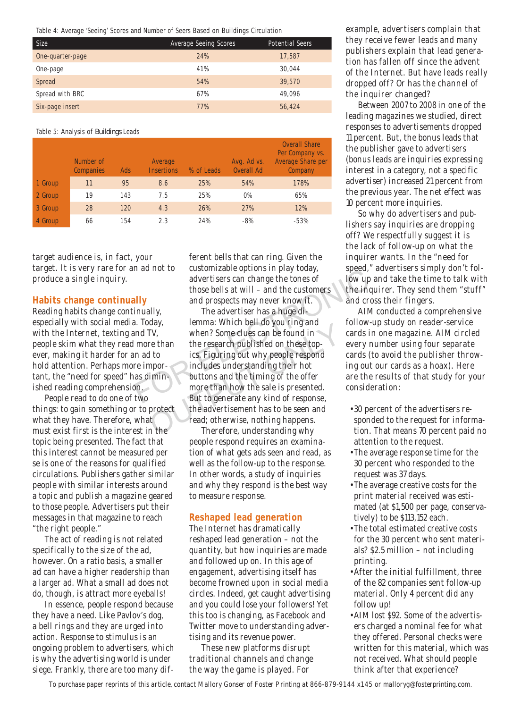Table 4: Average 'Seeing' Scores and Number of Seers Based on Buildings Circulation

| <b>Size</b>      | Average Seeing Scores | <b>Potential Seers</b> |
|------------------|-----------------------|------------------------|
| One-quarter-page | 24%                   | 17,587                 |
| One-page         | 41%                   | 30.044                 |
| Spread           | 54%                   | 39,570                 |
| Spread with BRC  | 67%                   | 49.096                 |
| Six-page insert  | 77%                   | 56,424                 |

#### Table 5: Analysis of *Buildings* Leads

|         | Number of<br>Companies | Ads | Average<br><b>Insertions</b> | % of Leads | Avg. Ad vs.<br>Overall Ad | <b>Overall Share</b><br>Per Company vs.<br>Average Share per<br>Company |
|---------|------------------------|-----|------------------------------|------------|---------------------------|-------------------------------------------------------------------------|
| 1 Group | 11                     | 95  | 8.6                          | 25%        | 54%                       | 178%                                                                    |
| 2 Group | 19                     | 143 | 7.5                          | 25%        | 0%                        | 65%                                                                     |
| 3 Group | 28                     | 120 | 4.3                          | 26%        | 27%                       | 12%                                                                     |
| 4 Group | 66                     | 154 | 2.3                          | 24%        | $-8%$                     | $-53%$                                                                  |

target audience is, in fact, your target. It is very rare for an ad not to produce a single inquiry.

### **Habits change continually**

Reading habits change continually, especially with social media. Today, with the Internet, texting and TV, people skim what they read more than ever, making it harder for an ad to hold attention. Perhaps more important, the "need for speed" has diminished reading comprehension.

People read to do one of two things: to gain something or to protect what they have. Therefore, what must exist first is the interest in the topic being presented. The fact that this interest cannot be measured per se is one of the reasons for qualified circulations. Publishers gather similar people with similar interests around a topic and publish a magazine geared to those people. Advertisers put their messages in that magazine to reach "the right people."

The act of reading is not related specifically to the size of the ad, however. On a ratio basis, a smaller ad can have a higher readership than a larger ad. What a small ad does not do, though, is attract more eyeballs!

In essence, people respond because they have a need. Like Pavlov's dog, a bell rings and they are urged into action. Response to stimulus is an ongoing problem to advertisers, which is why the advertising world is under siege. Frankly, there are too many different bells that can ring. Given the customizable options in play today, advertisers can change the tones of those bells at will – and the customers and prospects may never know it.

The advertiser has a huge dilemma: Which bell do you ring and when? Some clues can be found in the research published on these topics. Figuring out why people respond includes understanding their hot buttons and the timing of the offer more than how the sale is presented. But to generate any kind of response, the advertisement has to be seen and read; otherwise, nothing happens. For all that includes the tones of those bells at will – and the customers the inquired and prospects may never know it. and cross invally, the advertiser has a huge di-<br>a. Today, lemma: Which bell do you ring and follow-u May, temma. Which ben do you ring and<br>TV, when? Some clues can be found in<br>the research published on these top-<br>ics. Figuring out why people respond<br>npor-<br>includes understanding their hot<br>imin-<br>buttons and the timing of th

Therefore, understanding why people respond requires an examination of what gets ads seen and read, as well as the follow-up to the response. In other words, a study of inquiries and why they respond is the best way to measure response.

## **Reshaped lead generation**

The Internet has dramatically reshaped lead generation – not the quantity, but how inquiries are made and followed up on. In this age of engagement, advertising itself has become frowned upon in social media circles. Indeed, get caught advertising and you could lose your followers! Yet this too is changing, as Facebook and Twitter move to understanding advertising and its revenue power.

These new platforms disrupt traditional channels and change the way the game is played. For

example, advertisers complain that they receive fewer leads and many publishers explain that lead generation has fallen off since the advent of the Internet. But have leads really dropped off? Or has the channel of the inquirer changed?

Between 2007 to 2008 in one of the leading magazines we studied, direct responses to advertisements dropped 11 percent. But, the bonus leads that the publisher gave to advertisers (bonus leads are inquiries expressing interest in a category, not a specific advertiser) increased 21 percent from the previous year. The net effect was 10 percent more inquiries.

So why do advertisers and publishers say inquiries are dropping off? We respectfully suggest it is the lack of follow-up on what the inquirer wants. In the "need for speed," advertisers simply don't follow up and take the time to talk with the inquirer. They send them "stuff" and cross their fingers.

AIM conducted a comprehensive follow-up study on reader-service cards in one magazine. AIM circled every number using four separate cards (to avoid the publisher throwing out our cards as a hoax). Here are the results of that study for your consideration:

- 30 percent of the advertisers responded to the request for information. That means 70 percent paid no attention to the request.
- The average response time for the 30 percent who responded to the request was 37 days.
- The average creative costs for the print material received was estimated (at \$1,500 per page, conservatively) to be \$113,152 each.
- The total estimated creative costs for the 30 percent who sent materials? \$2.5 million – not including printing.
- After the initial fulfillment, three of the 82 companies sent follow-up material. Only 4 percent did any follow up!
- AIM lost \$92. Some of the advertisers charged a nominal fee for what they offered. Personal checks were written for this material, which was not received. What should people think after that experience?